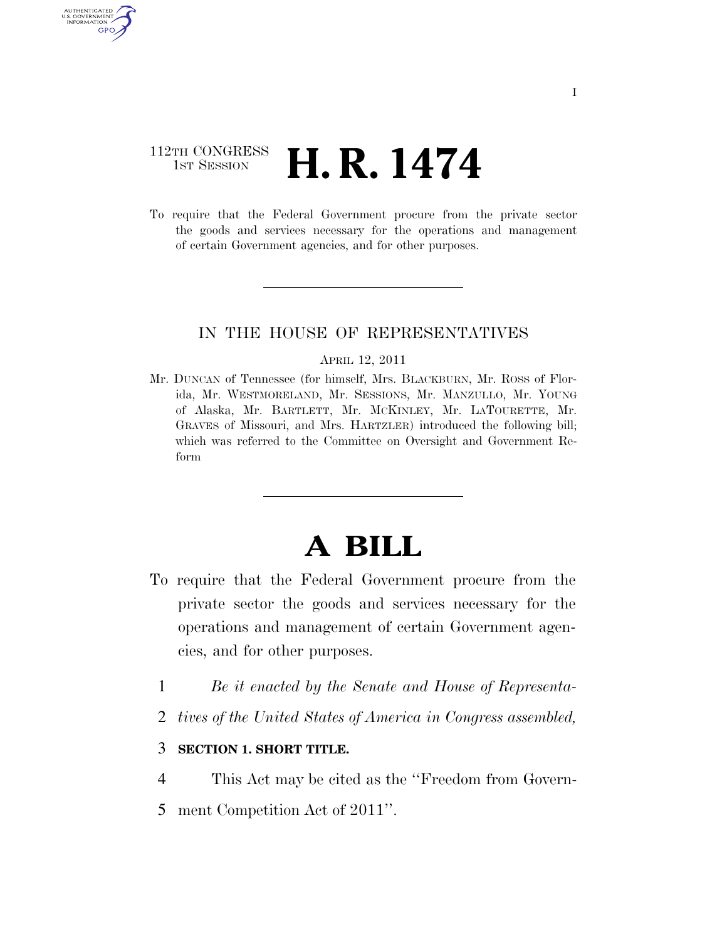# 112TH CONGRESS  $\frac{1}{15T}$  Session **H. R. 1474**

AUTHENTICATED U.S. GOVERNMENT GPO

> To require that the Federal Government procure from the private sector the goods and services necessary for the operations and management of certain Government agencies, and for other purposes.

#### IN THE HOUSE OF REPRESENTATIVES

#### APRIL 12, 2011

Mr. DUNCAN of Tennessee (for himself, Mrs. BLACKBURN, Mr. ROSS of Florida, Mr. WESTMORELAND, Mr. SESSIONS, Mr. MANZULLO, Mr. YOUNG of Alaska, Mr. BARTLETT, Mr. MCKINLEY, Mr. LATOURETTE, Mr. GRAVES of Missouri, and Mrs. HARTZLER) introduced the following bill; which was referred to the Committee on Oversight and Government Reform

# **A BILL**

- To require that the Federal Government procure from the private sector the goods and services necessary for the operations and management of certain Government agencies, and for other purposes.
	- 1 *Be it enacted by the Senate and House of Representa-*
	- 2 *tives of the United States of America in Congress assembled,*

### 3 **SECTION 1. SHORT TITLE.**

- 4 This Act may be cited as the ''Freedom from Govern-
- 5 ment Competition Act of 2011''.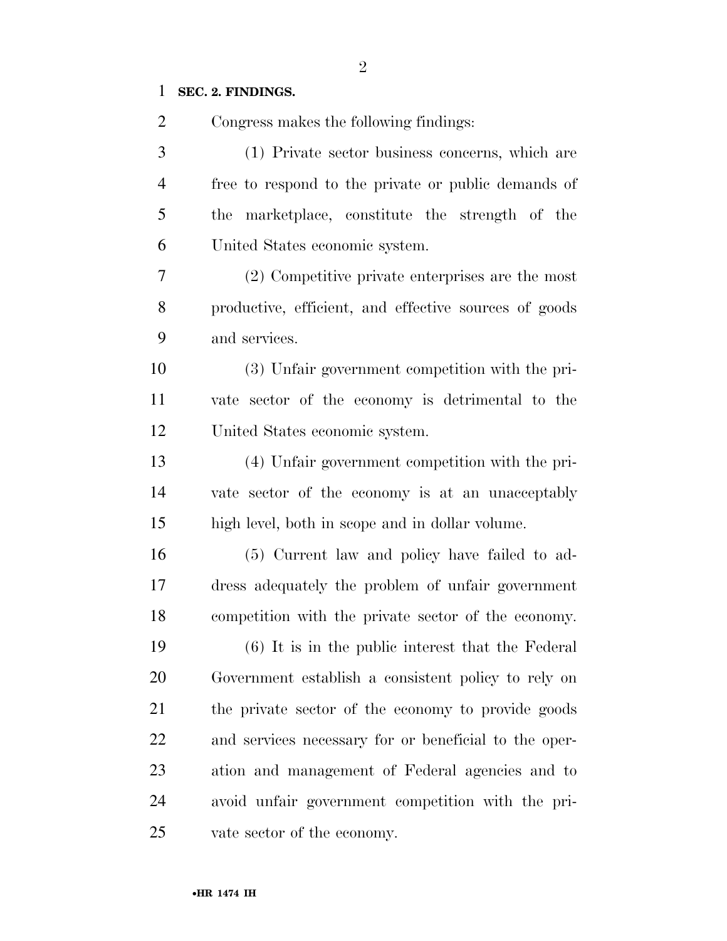## **SEC. 2. FINDINGS.**

| $\overline{2}$ | Congress makes the following findings:                |
|----------------|-------------------------------------------------------|
| 3              | (1) Private sector business concerns, which are       |
| $\overline{4}$ | free to respond to the private or public demands of   |
| 5              | marketplace, constitute the strength of the<br>the    |
| 6              | United States economic system.                        |
| 7              | (2) Competitive private enterprises are the most      |
| 8              | productive, efficient, and effective sources of goods |
| 9              | and services.                                         |
| 10             | (3) Unfair government competition with the pri-       |
| 11             | vate sector of the economy is detrimental to the      |
| 12             | United States economic system.                        |
| 13             | (4) Unfair government competition with the pri-       |
| 14             | vate sector of the economy is at an unacceptably      |
| 15             | high level, both in scope and in dollar volume.       |
| 16             | (5) Current law and policy have failed to ad-         |
| 17             | dress adequately the problem of unfair government     |
| 18             | competition with the private sector of the economy.   |
| 19             | (6) It is in the public interest that the Federal     |
| 20             | Government establish a consistent policy to rely on   |
| 21             | the private sector of the economy to provide goods    |
| 22             | and services necessary for or beneficial to the oper- |
| 23             | ation and management of Federal agencies and to       |
| 24             | avoid unfair government competition with the pri-     |
| 25             | vate sector of the economy.                           |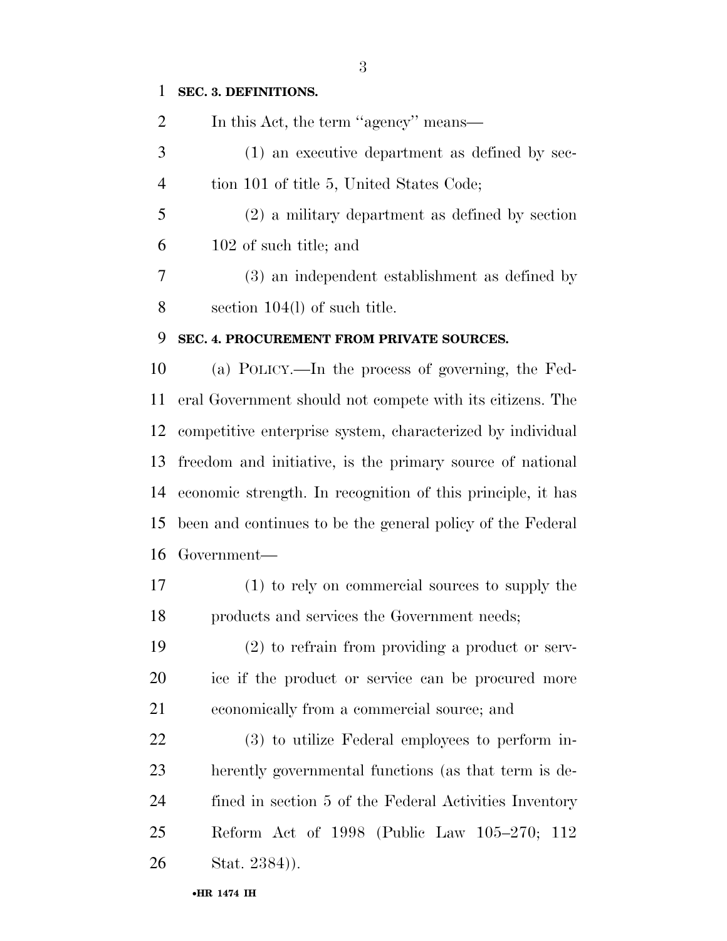# **SEC. 3. DEFINITIONS.**

| $\overline{2}$ | In this Act, the term "agency" means—                       |
|----------------|-------------------------------------------------------------|
| 3              | (1) an executive department as defined by sec-              |
| $\overline{4}$ | tion 101 of title 5, United States Code;                    |
| 5              | $(2)$ a military department as defined by section           |
| 6              | 102 of such title; and                                      |
| 7              | (3) an independent establishment as defined by              |
| $8\,$          | section $104(l)$ of such title.                             |
| 9              | SEC. 4. PROCUREMENT FROM PRIVATE SOURCES.                   |
| 10             | (a) POLICY.—In the process of governing, the Fed-           |
| 11             | eral Government should not compete with its citizens. The   |
| 12             | competitive enterprise system, characterized by individual  |
| 13             | freedom and initiative, is the primary source of national   |
| 14             | economic strength. In recognition of this principle, it has |
| 15             | been and continues to be the general policy of the Federal  |
| 16             | Government-                                                 |
| 17             | (1) to rely on commercial sources to supply the             |
| 18             | products and services the Government needs;                 |
| 19             | $(2)$ to refrain from providing a product or serv-          |
| 20             | ice if the product or service can be procured more          |
| 21             | economically from a commercial source; and                  |
| 22             | (3) to utilize Federal employees to perform in-             |
| 23             | herently governmental functions (as that term is de-        |
| 24             | fined in section 5 of the Federal Activities Inventory      |
| 25             | Reform Act of 1998 (Public Law 105–270; 112                 |
| 26             | Stat. 2384)).                                               |
|                | •HR 1474 IH                                                 |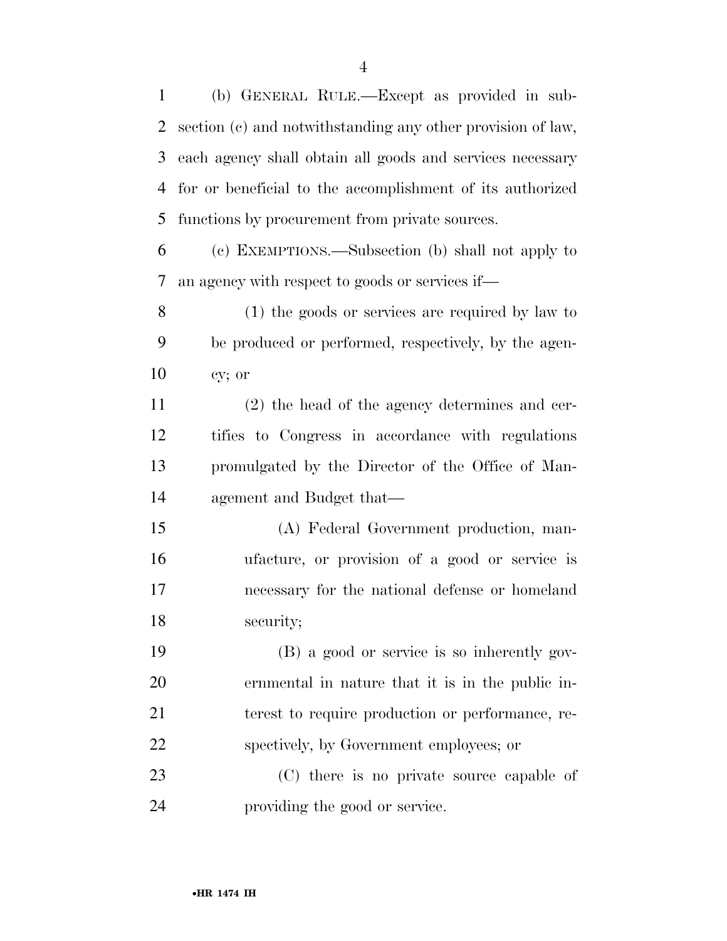(b) GENERAL RULE.—Except as provided in sub- section (c) and notwithstanding any other provision of law, each agency shall obtain all goods and services necessary for or beneficial to the accomplishment of its authorized functions by procurement from private sources.

 (c) EXEMPTIONS.—Subsection (b) shall not apply to an agency with respect to goods or services if—

 (1) the goods or services are required by law to be produced or performed, respectively, by the agen-cy; or

 (2) the head of the agency determines and cer- tifies to Congress in accordance with regulations promulgated by the Director of the Office of Man-agement and Budget that—

 (A) Federal Government production, man- ufacture, or provision of a good or service is necessary for the national defense or homeland security;

 (B) a good or service is so inherently gov- ernmental in nature that it is in the public in- terest to require production or performance, re-spectively, by Government employees; or

23 (C) there is no private source capable of providing the good or service.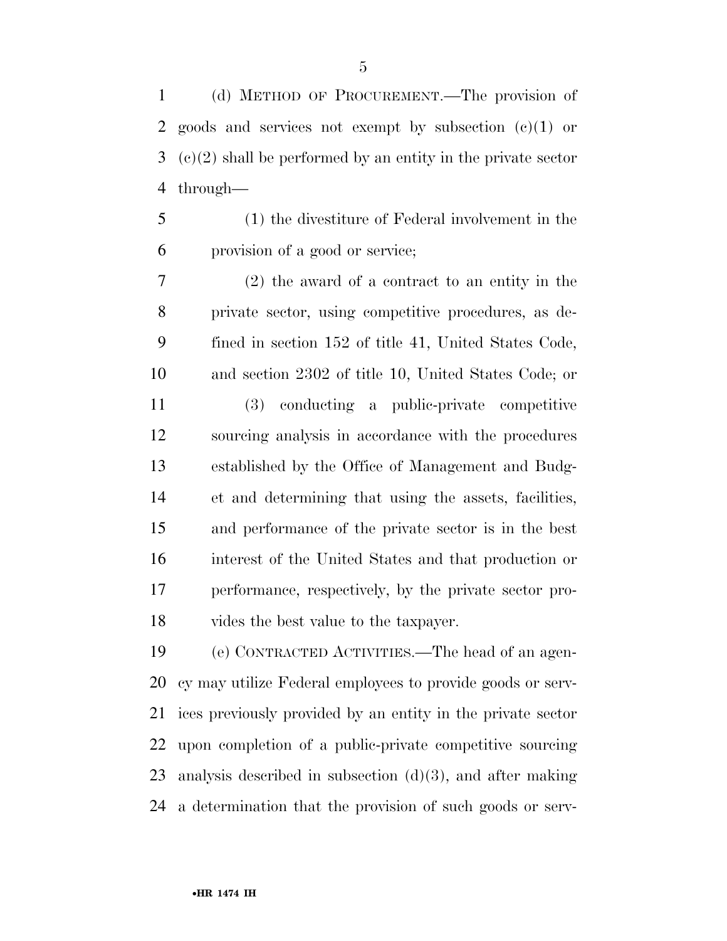(d) METHOD OF PROCUREMENT.—The provision of goods and services not exempt by subsection (c)(1) or (c)(2) shall be performed by an entity in the private sector through—

 (1) the divestiture of Federal involvement in the provision of a good or service;

 (2) the award of a contract to an entity in the private sector, using competitive procedures, as de- fined in section 152 of title 41, United States Code, and section 2302 of title 10, United States Code; or

 (3) conducting a public-private competitive sourcing analysis in accordance with the procedures established by the Office of Management and Budg- et and determining that using the assets, facilities, and performance of the private sector is in the best interest of the United States and that production or performance, respectively, by the private sector pro-vides the best value to the taxpayer.

 (e) CONTRACTED ACTIVITIES.—The head of an agen- cy may utilize Federal employees to provide goods or serv- ices previously provided by an entity in the private sector upon completion of a public-private competitive sourcing analysis described in subsection (d)(3), and after making a determination that the provision of such goods or serv-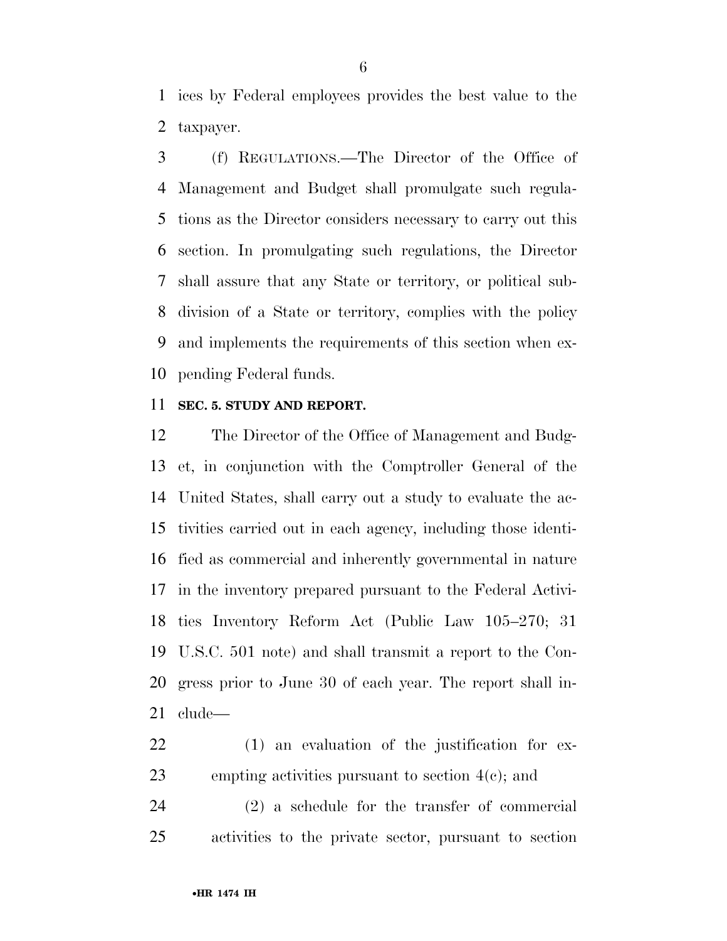ices by Federal employees provides the best value to the taxpayer.

 (f) REGULATIONS.—The Director of the Office of Management and Budget shall promulgate such regula- tions as the Director considers necessary to carry out this section. In promulgating such regulations, the Director shall assure that any State or territory, or political sub- division of a State or territory, complies with the policy and implements the requirements of this section when ex-pending Federal funds.

#### **SEC. 5. STUDY AND REPORT.**

 The Director of the Office of Management and Budg- et, in conjunction with the Comptroller General of the United States, shall carry out a study to evaluate the ac- tivities carried out in each agency, including those identi- fied as commercial and inherently governmental in nature in the inventory prepared pursuant to the Federal Activi- ties Inventory Reform Act (Public Law 105–270; 31 U.S.C. 501 note) and shall transmit a report to the Con- gress prior to June 30 of each year. The report shall in-clude—

 (1) an evaluation of the justification for ex-empting activities pursuant to section 4(c); and

 (2) a schedule for the transfer of commercial activities to the private sector, pursuant to section